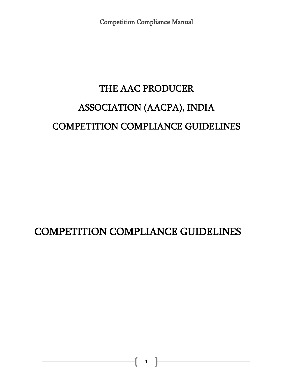# THE AAC PRODUCER ASSOCIATION (AACPA), INDIA COMPETITION COMPLIANCE GUIDELINES

## COMPETITION COMPLIANCE GUIDELINES

1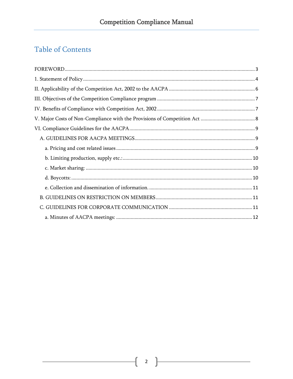## **Table of Contents**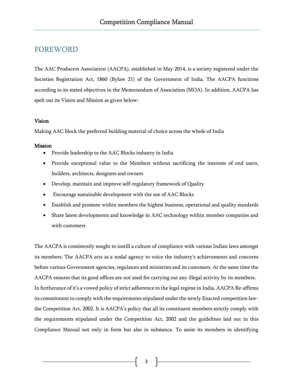## <span id="page-2-0"></span>FOREWORD

The AAC Producers Association (AACPA), established in May 2014, is a society registered under the Societies Registration Act, 1860 (Bylaw 21) of the Government of India. The AACPA functions according to its stated objectives in the Memorandum of Association (MOA). In addition, AACPA has spelt out its Vision and Mission as given below:

#### Vision

Making AAC block the preferred building material of choice across the whole of India

#### Mission

- Provide leadership to the AAC Blocks industry in India
- Provide exceptional value to the Members without sacrificing the interests of end users, builders, architects, designers and owners
- Develop, maintain and improve self-regulatory framework of Quality
- Encourage sustainable development with the use of AAC Blocks
- Establish and promote within members the highest business, operational and quality standards
- Share latest developments and knowledge in AAC technology within member companies and with customers

The AACPA is consistently sought to instill a culture of compliance with various Indian laws amongst its members. The AACPA acts as a nodal agency to voice the industry's achievements and concerns before various Government agencies, regulators and ministries and its customers. At the same time the AACPA ensures that its good offices are not used for carrying out any illegal activity by its members. In furtherance of it's a vowed policy of strict adherence to the legal regime in India, AACPA Re-affirms its commitment to comply with the requirements stipulated under the newly Enacted competition lawthe Competition Act, 2002. It is AACPA's policy that all its constituent members strictly comply with the requirements stipulated under the Competition Act, 2002 and the guidelines laid out in this Compliance Manual not only in form but also in substance. To assist its members in identifying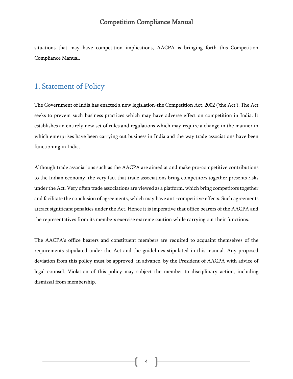situations that may have competition implications, AACPA is bringing forth this Competition Compliance Manual.

#### <span id="page-3-0"></span>1. Statement of Policy

The Government of India has enacted a new legislation-the Competition Act, 2002 ('the Act'). The Act seeks to prevent such business practices which may have adverse effect on competition in India. It establishes an entirely new set of rules and regulations which may require a change in the manner in which enterprises have been carrying out business in India and the way trade associations have been functioning in India.

Although trade associations such as the AACPA are aimed at and make pro-competitive contributions to the Indian economy, the very fact that trade associations bring competitors together presents risks under the Act. Very often trade associations are viewed as a platform, which bring competitors together and facilitate the conclusion of agreements, which may have anti-competitive effects. Such agreements attract significant penalties under the Act. Hence it is imperative that office bearers of the AACPA and the representatives from its members exercise extreme caution while carrying out their functions.

The AACPA's office bearers and constituent members are required to acquaint themselves of the requirements stipulated under the Act and the guidelines stipulated in this manual. Any proposed deviation from this policy must be approved, in advance, by the President of AACPA with advice of legal counsel. Violation of this policy may subject the member to disciplinary action, including dismissal from membership.

4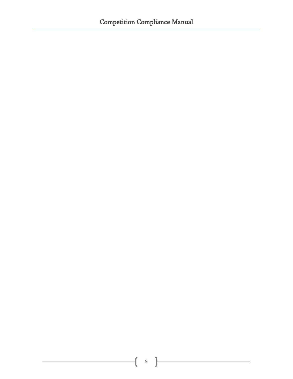5

ł

ſ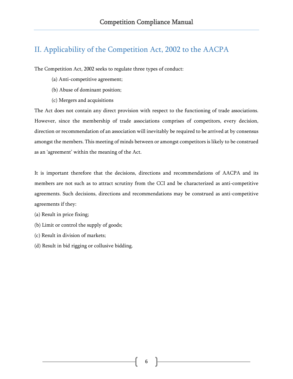## <span id="page-5-0"></span>II. Applicability of the Competition Act, 2002 to the AACPA

The Competition Act, 2002 seeks to regulate three types of conduct:

- (a) Anti-competitive agreement;
- (b) Abuse of dominant position;
- (c) Mergers and acquisitions

The Act does not contain any direct provision with respect to the functioning of trade associations. However, since the membership of trade associations comprises of competitors, every decision, direction or recommendation of an association will inevitably be required to be arrived at by consensus amongst the members. This meeting of minds between or amongst competitors is likely to be construed as an 'agreement' within the meaning of the Act.

It is important therefore that the decisions, directions and recommendations of AACPA and its members are not such as to attract scrutiny from the CCI and be characterized as anti-competitive agreements. Such decisions, directions and recommendations may be construed as anti-competitive agreements if they:

- (a) Result in price fixing;
- (b) Limit or control the supply of goods;
- (c) Result in division of markets;
- (d) Result in bid rigging or collusive bidding.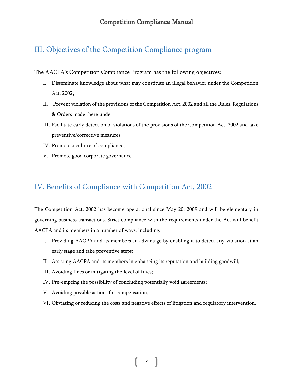## <span id="page-6-0"></span>III. Objectives of the Competition Compliance program

The AACPA's Competition Compliance Program has the following objectives:

- I. Disseminate knowledge about what may constitute an illegal behavior under the Competition Act, 2002;
- II. Prevent violation of the provisions of the Competition Act, 2002 and all the Rules, Regulations & Orders made there under;
- III. Facilitate early detection of violations of the provisions of the Competition Act, 2002 and take preventive/corrective measures;
- IV. Promote a culture of compliance;
- V. Promote good corporate governance.

## <span id="page-6-1"></span>IV. Benefits of Compliance with Competition Act, 2002

The Competition Act, 2002 has become operational since May 20, 2009 and will be elementary in governing business transactions. Strict compliance with the requirements under the Act will benefit AACPA and its members in a number of ways, including:

- I. Providing AACPA and its members an advantage by enabling it to detect any violation at an early stage and take preventive steps;
- II. Assisting AACPA and its members in enhancing its reputation and building goodwill;
- III. Avoiding fines or mitigating the level of fines;
- IV. Pre-empting the possibility of concluding potentially void agreements;
- V. Avoiding possible actions for compensation;
- VI. Obviating or reducing the costs and negative effects of litigation and regulatory intervention.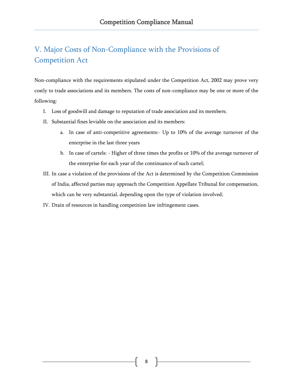## <span id="page-7-0"></span>V. Major Costs of Non-Compliance with the Provisions of Competition Act

Non-compliance with the requirements stipulated under the Competition Act, 2002 may prove very costly to trade associations and its members. The costs of non-compliance may be one or more of the following:

- I. Loss of goodwill and damage to reputation of trade association and its members;
- II. Substantial fines leviable on the association and its members:
	- a. In case of anti-competitive agreements:- Up to 10% of the average turnover of the enterprise in the last three years
	- b. In case of cartels: Higher of three times the profits or 10% of the average turnover of the enterprise for each year of the continuance of such cartel;
- III. In case a violation of the provisions of the Act is determined by the Competition Commission of India, affected parties may approach the Competition Appellate Tribunal for compensation, which can be very substantial, depending upon the type of violation involved;
- IV. Drain of resources in handling competition law infringement cases.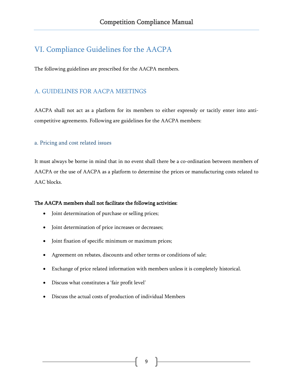## <span id="page-8-0"></span>VI. Compliance Guidelines for the AACPA

The following guidelines are prescribed for the AACPA members.

#### <span id="page-8-1"></span>A. GUIDELINES FOR AACPA MEETINGS

AACPA shall not act as a platform for its members to either expressly or tacitly enter into anticompetitive agreements. Following are guidelines for the AACPA members:

#### <span id="page-8-2"></span>a. Pricing and cost related issues

It must always be borne in mind that in no event shall there be a co-ordination between members of AACPA or the use of AACPA as a platform to determine the prices or manufacturing costs related to AAC blocks.

#### The AACPA members shall not facilitate the following activities:

- Joint determination of purchase or selling prices;
- Joint determination of price increases or decreases;
- Joint fixation of specific minimum or maximum prices;
- Agreement on rebates, discounts and other terms or conditions of sale;
- Exchange of price related information with members unless it is completely historical.
- Discuss what constitutes a 'fair profit level'
- Discuss the actual costs of production of individual Members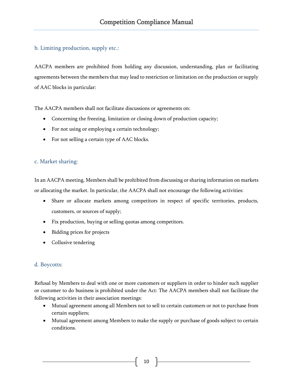#### <span id="page-9-0"></span>b. Limiting production, supply etc.:

AACPA members are prohibited from holding any discussion, understanding, plan or facilitating agreements between the members that may lead to restriction or limitation on the production or supply of AAC blocks in particular:

The AACPA members shall not facilitate discussions or agreements on:

- Concerning the freezing, limitation or closing down of production capacity;
- For not using or employing a certain technology;
- For not selling a certain type of AAC blocks.

#### <span id="page-9-1"></span>c. Market sharing:

In an AACPA meeting, Members shall be prohibited from discussing or sharing information on markets or allocating the market. In particular, the AACPA shall not encourage the following activities:

- Share or allocate markets among competitors in respect of specific territories, products, customers, or sources of supply;
- Fix production, buying or selling quotas among competitors.
- Bidding prices for projects
- Collusive tendering

#### <span id="page-9-2"></span>d. Boycotts:

Refusal by Members to deal with one or more customers or suppliers in order to hinder such supplier or customer to do business is prohibited under the Act: The AACPA members shall not facilitate the following activities in their association meetings:

- Mutual agreement among all Members not to sell to certain customers or not to purchase from certain suppliers;
- Mutual agreement among Members to make the supply or purchase of goods subject to certain conditions.

 $10$  }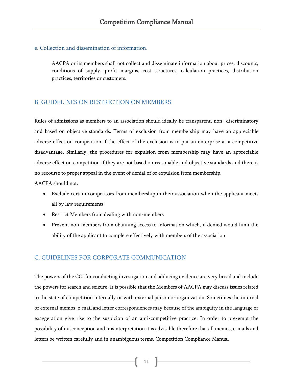<span id="page-10-0"></span>e. Collection and dissemination of information.

AACPA or its members shall not collect and disseminate information about prices, discounts, conditions of supply, profit margins, cost structures, calculation practices, distribution practices, territories or customers.

#### <span id="page-10-1"></span>B. GUIDELINES ON RESTRICTION ON MEMBERS

Rules of admissions as members to an association should ideally be transparent, non- discriminatory and based on objective standards. Terms of exclusion from membership may have an appreciable adverse effect on competition if the effect of the exclusion is to put an enterprise at a competitive disadvantage. Similarly, the procedures for expulsion from membership may have an appreciable adverse effect on competition if they are not based on reasonable and objective standards and there is no recourse to proper appeal in the event of denial of or expulsion from membership.

AACPA should not:

- Exclude certain competitors from membership in their association when the applicant meets all by law requirements
- Restrict Members from dealing with non-members
- Prevent non-members from obtaining access to information which, if denied would limit the ability of the applicant to complete effectively with members of the association

#### <span id="page-10-2"></span>C. GUIDELINES FOR CORPORATE COMMUNICATION

The powers of the CCI for conducting investigation and adducing evidence are very broad and include the powers for search and seizure. It is possible that the Members of AACPA may discuss issues related to the state of competition internally or with external person or organization. Sometimes the internal or external memos, e-mail and letter correspondences may because of the ambiguity in the language or exaggeration give rise to the suspicion of an anti-competitive practice. In order to pre-empt the possibility of misconception and misinterpretation it is advisable therefore that all memos, e-mails and letters be written carefully and in unambiguous terms. Competition Compliance Manual